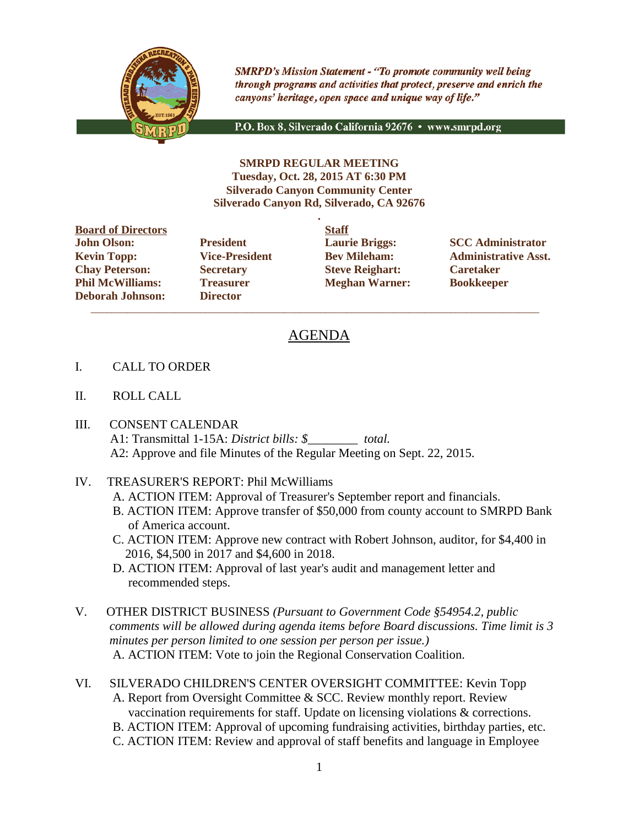

**SMRPD's Mission Statement - "To promote community well being** through programs and activities that protect, preserve and enrich the canyons' heritage, open space and unique way of life."

P.O. Box 8, Silverado California 92676 · www.smrpd.org

**SMRPD REGULAR MEETING Tuesday, Oct. 28, 2015 AT 6:30 PM Silverado Canyon Community Center Silverado Canyon Rd, Silverado, CA 92676**

**.**

**Board of Directors Staff John Olson: President Laurie Briggs: SCC Administrator Chay Peterson: Secretary Steve Reighart: Caretaker Phil McWilliams: Treasurer Meghan Warner: Bookkeeper Deborah Johnson: Director**

 $\overline{\phantom{a}}$  ,  $\overline{\phantom{a}}$  ,  $\overline{\phantom{a}}$  ,  $\overline{\phantom{a}}$  ,  $\overline{\phantom{a}}$  ,  $\overline{\phantom{a}}$  ,  $\overline{\phantom{a}}$  ,  $\overline{\phantom{a}}$  ,  $\overline{\phantom{a}}$  ,  $\overline{\phantom{a}}$  ,  $\overline{\phantom{a}}$  ,  $\overline{\phantom{a}}$  ,  $\overline{\phantom{a}}$  ,  $\overline{\phantom{a}}$  ,  $\overline{\phantom{a}}$  ,  $\overline{\phantom{a}}$ 

**Kevin Topp: Vice-President Bev Mileham: Administrative Asst.**

# AGENDA

- I. CALL TO ORDER
- II. ROLL CALL
- III. CONSENT CALENDAR A1: Transmittal 1-15A: *District bills: \$\_\_\_\_\_\_\_\_ total.* A2: Approve and file Minutes of the Regular Meeting on Sept. 22, 2015.
- IV. TREASURER'S REPORT: Phil McWilliams
	- A. ACTION ITEM: Approval of Treasurer's September report and financials.
	- B. ACTION ITEM: Approve transfer of \$50,000 from county account to SMRPD Bank of America account.
	- C. ACTION ITEM: Approve new contract with Robert Johnson, auditor, for \$4,400 in 2016, \$4,500 in 2017 and \$4,600 in 2018.
	- D. ACTION ITEM: Approval of last year's audit and management letter and recommended steps.
- V. OTHER DISTRICT BUSINESS *(Pursuant to Government Code §54954.2, public comments will be allowed during agenda items before Board discussions. Time limit is 3 minutes per person limited to one session per person per issue.)* A. ACTION ITEM: Vote to join the Regional Conservation Coalition.
- VI. SILVERADO CHILDREN'S CENTER OVERSIGHT COMMITTEE: Kevin Topp A. Report from Oversight Committee & SCC. Review monthly report. Review vaccination requirements for staff. Update on licensing violations & corrections.
	- B. ACTION ITEM: Approval of upcoming fundraising activities, birthday parties, etc.
	- C. ACTION ITEM: Review and approval of staff benefits and language in Employee